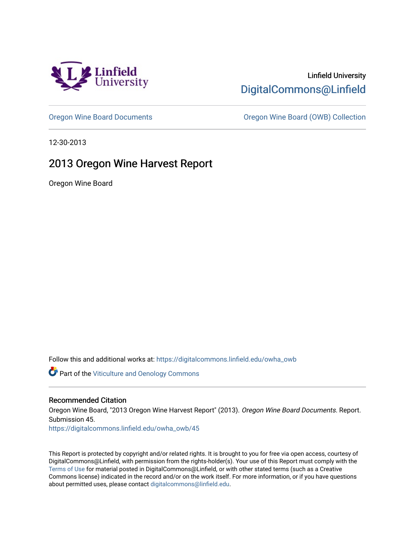

## Linfield University [DigitalCommons@Linfield](https://digitalcommons.linfield.edu/)

[Oregon Wine Board Documents](https://digitalcommons.linfield.edu/owha_owb) [Oregon Wine Board \(OWB\) Collection](https://digitalcommons.linfield.edu/owha_owb_comm) 

12-30-2013

## 2013 Oregon Wine Harvest Report

Oregon Wine Board

Follow this and additional works at: [https://digitalcommons.linfield.edu/owha\\_owb](https://digitalcommons.linfield.edu/owha_owb?utm_source=digitalcommons.linfield.edu%2Fowha_owb%2F45&utm_medium=PDF&utm_campaign=PDFCoverPages) 

**Part of the [Viticulture and Oenology Commons](http://network.bepress.com/hgg/discipline/1264?utm_source=digitalcommons.linfield.edu%2Fowha_owb%2F45&utm_medium=PDF&utm_campaign=PDFCoverPages)** 

## Recommended Citation

Oregon Wine Board, "2013 Oregon Wine Harvest Report" (2013). Oregon Wine Board Documents. Report. Submission 45.

[https://digitalcommons.linfield.edu/owha\\_owb/45](https://digitalcommons.linfield.edu/owha_owb/45)

This Report is protected by copyright and/or related rights. It is brought to you for free via open access, courtesy of DigitalCommons@Linfield, with permission from the rights-holder(s). Your use of this Report must comply with the [Terms of Use](https://digitalcommons.linfield.edu/terms_of_use.html) for material posted in DigitalCommons@Linfield, or with other stated terms (such as a Creative Commons license) indicated in the record and/or on the work itself. For more information, or if you have questions about permitted uses, please contact [digitalcommons@linfield.edu.](mailto:digitalcommons@linfield.edu)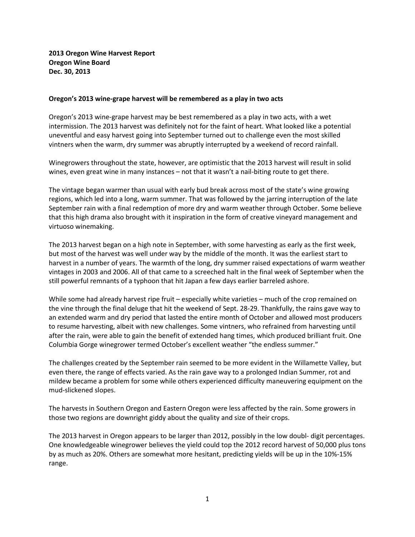**2013 Oregon Wine Harvest Report Oregon Wine Board Dec. 30, 2013**

## **Oregon's 2013 wine-grape harvest will be remembered as a play in two acts**

Oregon's 2013 wine-grape harvest may be best remembered as a play in two acts, with a wet intermission. The 2013 harvest was definitely not for the faint of heart. What looked like a potential uneventful and easy harvest going into September turned out to challenge even the most skilled vintners when the warm, dry summer was abruptly interrupted by a weekend of record rainfall.

Winegrowers throughout the state, however, are optimistic that the 2013 harvest will result in solid wines, even great wine in many instances – not that it wasn't a nail-biting route to get there.

The vintage began warmer than usual with early bud break across most of the state's wine growing regions, which led into a long, warm summer. That was followed by the jarring interruption of the late September rain with a final redemption of more dry and warm weather through October. Some believe that this high drama also brought with it inspiration in the form of creative vineyard management and virtuoso winemaking.

The 2013 harvest began on a high note in September, with some harvesting as early as the first week, but most of the harvest was well under way by the middle of the month. It was the earliest start to harvest in a number of years. The warmth of the long, dry summer raised expectations of warm weather vintages in 2003 and 2006. All of that came to a screeched halt in the final week of September when the still powerful remnants of a typhoon that hit Japan a few days earlier barreled ashore.

While some had already harvest ripe fruit – especially white varieties – much of the crop remained on the vine through the final deluge that hit the weekend of Sept. 28-29. Thankfully, the rains gave way to an extended warm and dry period that lasted the entire month of October and allowed most producers to resume harvesting, albeit with new challenges. Some vintners, who refrained from harvesting until after the rain, were able to gain the benefit of extended hang times, which produced brilliant fruit. One Columbia Gorge winegrower termed October's excellent weather "the endless summer."

The challenges created by the September rain seemed to be more evident in the Willamette Valley, but even there, the range of effects varied. As the rain gave way to a prolonged Indian Summer, rot and mildew became a problem for some while others experienced difficulty maneuvering equipment on the mud-slickened slopes.

The harvests in Southern Oregon and Eastern Oregon were less affected by the rain. Some growers in those two regions are downright giddy about the quality and size of their crops.

The 2013 harvest in Oregon appears to be larger than 2012, possibly in the low doubl- digit percentages. One knowledgeable winegrower believes the yield could top the 2012 record harvest of 50,000 plus tons by as much as 20%. Others are somewhat more hesitant, predicting yields will be up in the 10%-15% range.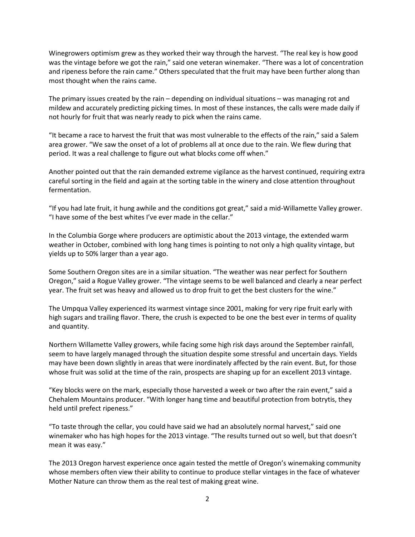Winegrowers optimism grew as they worked their way through the harvest. "The real key is how good was the vintage before we got the rain," said one veteran winemaker. "There was a lot of concentration and ripeness before the rain came." Others speculated that the fruit may have been further along than most thought when the rains came.

The primary issues created by the rain – depending on individual situations – was managing rot and mildew and accurately predicting picking times. In most of these instances, the calls were made daily if not hourly for fruit that was nearly ready to pick when the rains came.

"It became a race to harvest the fruit that was most vulnerable to the effects of the rain," said a Salem area grower. "We saw the onset of a lot of problems all at once due to the rain. We flew during that period. It was a real challenge to figure out what blocks come off when."

Another pointed out that the rain demanded extreme vigilance as the harvest continued, requiring extra careful sorting in the field and again at the sorting table in the winery and close attention throughout fermentation.

"If you had late fruit, it hung awhile and the conditions got great," said a mid-Willamette Valley grower. "I have some of the best whites I've ever made in the cellar."

In the Columbia Gorge where producers are optimistic about the 2013 vintage, the extended warm weather in October, combined with long hang times is pointing to not only a high quality vintage, but yields up to 50% larger than a year ago.

Some Southern Oregon sites are in a similar situation. "The weather was near perfect for Southern Oregon," said a Rogue Valley grower. "The vintage seems to be well balanced and clearly a near perfect year. The fruit set was heavy and allowed us to drop fruit to get the best clusters for the wine."

The Umpqua Valley experienced its warmest vintage since 2001, making for very ripe fruit early with high sugars and trailing flavor. There, the crush is expected to be one the best ever in terms of quality and quantity.

Northern Willamette Valley growers, while facing some high risk days around the September rainfall, seem to have largely managed through the situation despite some stressful and uncertain days. Yields may have been down slightly in areas that were inordinately affected by the rain event. But, for those whose fruit was solid at the time of the rain, prospects are shaping up for an excellent 2013 vintage.

"Key blocks were on the mark, especially those harvested a week or two after the rain event," said a Chehalem Mountains producer. "With longer hang time and beautiful protection from botrytis, they held until prefect ripeness."

"To taste through the cellar, you could have said we had an absolutely normal harvest," said one winemaker who has high hopes for the 2013 vintage. "The results turned out so well, but that doesn't mean it was easy."

The 2013 Oregon harvest experience once again tested the mettle of Oregon's winemaking community whose members often view their ability to continue to produce stellar vintages in the face of whatever Mother Nature can throw them as the real test of making great wine.